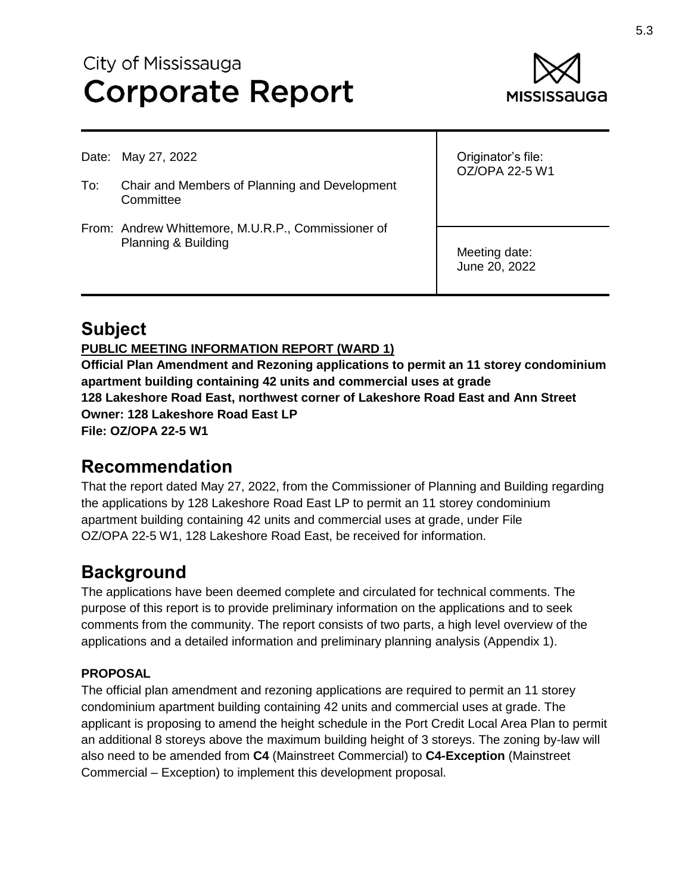# City of Mississauga **Corporate Report**



Date: May 27, 2022

- To: Chair and Members of Planning and Development **Committee**
- From: Andrew Whittemore, M.U.R.P., Commissioner of Planning & Building

Originator's file: OZ/OPA 22-5 W1

Meeting date: June 20, 2022

### **Subject**

#### **PUBLIC MEETING INFORMATION REPORT (WARD 1)**

**Official Plan Amendment and Rezoning applications to permit an 11 storey condominium apartment building containing 42 units and commercial uses at grade 128 Lakeshore Road East, northwest corner of Lakeshore Road East and Ann Street Owner: 128 Lakeshore Road East LP File: OZ/OPA 22-5 W1**

#### **Recommendation**

That the report dated May 27, 2022, from the Commissioner of Planning and Building regarding the applications by 128 Lakeshore Road East LP to permit an 11 storey condominium apartment building containing 42 units and commercial uses at grade, under File OZ/OPA 22-5 W1, 128 Lakeshore Road East, be received for information.

### **Background**

The applications have been deemed complete and circulated for technical comments. The purpose of this report is to provide preliminary information on the applications and to seek comments from the community. The report consists of two parts, a high level overview of the applications and a detailed information and preliminary planning analysis (Appendix 1).

#### **PROPOSAL**

The official plan amendment and rezoning applications are required to permit an 11 storey condominium apartment building containing 42 units and commercial uses at grade. The applicant is proposing to amend the height schedule in the Port Credit Local Area Plan to permit an additional 8 storeys above the maximum building height of 3 storeys. The zoning by-law will also need to be amended from **C4** (Mainstreet Commercial) to **C4-Exception** (Mainstreet Commercial – Exception) to implement this development proposal.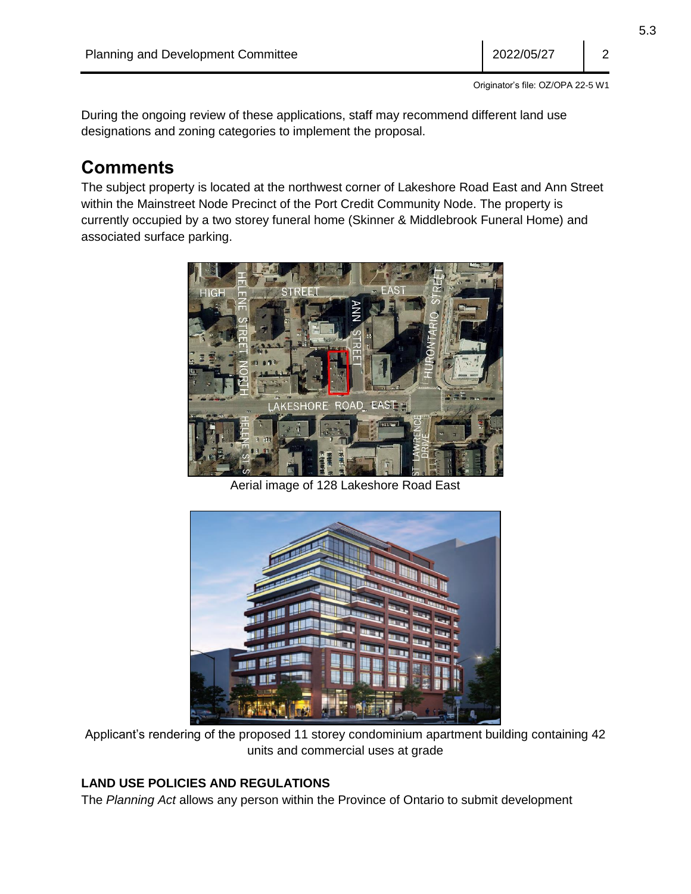During the ongoing review of these applications, staff may recommend different land use designations and zoning categories to implement the proposal.

### **Comments**

The subject property is located at the northwest corner of Lakeshore Road East and Ann Street within the Mainstreet Node Precinct of the Port Credit Community Node. The property is currently occupied by a two storey funeral home (Skinner & Middlebrook Funeral Home) and associated surface parking.



Aerial image of 128 Lakeshore Road East



Applicant's rendering of the proposed 11 storey condominium apartment building containing 42 units and commercial uses at grade

#### **LAND USE POLICIES AND REGULATIONS**

The *Planning Act* allows any person within the Province of Ontario to submit development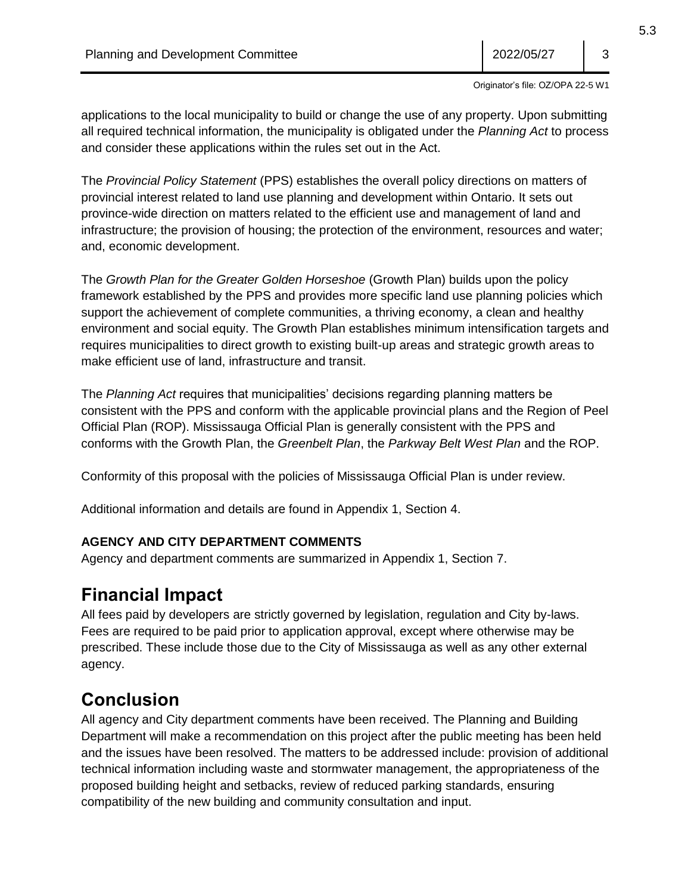Originator's file: OZ/OPA 22-5 W1

applications to the local municipality to build or change the use of any property. Upon submitting all required technical information, the municipality is obligated under the *Planning Act* to process and consider these applications within the rules set out in the Act.

The *Provincial Policy Statement* (PPS) establishes the overall policy directions on matters of provincial interest related to land use planning and development within Ontario. It sets out province-wide direction on matters related to the efficient use and management of land and infrastructure; the provision of housing; the protection of the environment, resources and water; and, economic development.

The *Growth Plan for the Greater Golden Horseshoe* (Growth Plan) builds upon the policy framework established by the PPS and provides more specific land use planning policies which support the achievement of complete communities, a thriving economy, a clean and healthy environment and social equity. The Growth Plan establishes minimum intensification targets and requires municipalities to direct growth to existing built-up areas and strategic growth areas to make efficient use of land, infrastructure and transit.

The *Planning Act* requires that municipalities' decisions regarding planning matters be consistent with the PPS and conform with the applicable provincial plans and the Region of Peel Official Plan (ROP). Mississauga Official Plan is generally consistent with the PPS and conforms with the Growth Plan, the *Greenbelt Plan*, the *Parkway Belt West Plan* and the ROP.

Conformity of this proposal with the policies of Mississauga Official Plan is under review.

Additional information and details are found in Appendix 1, Section 4.

#### **AGENCY AND CITY DEPARTMENT COMMENTS**

Agency and department comments are summarized in Appendix 1, Section 7.

## **Financial Impact**

All fees paid by developers are strictly governed by legislation, regulation and City by-laws. Fees are required to be paid prior to application approval, except where otherwise may be prescribed. These include those due to the City of Mississauga as well as any other external agency.

# **Conclusion**

All agency and City department comments have been received. The Planning and Building Department will make a recommendation on this project after the public meeting has been held and the issues have been resolved. The matters to be addressed include: provision of additional technical information including waste and stormwater management, the appropriateness of the proposed building height and setbacks, review of reduced parking standards, ensuring compatibility of the new building and community consultation and input.